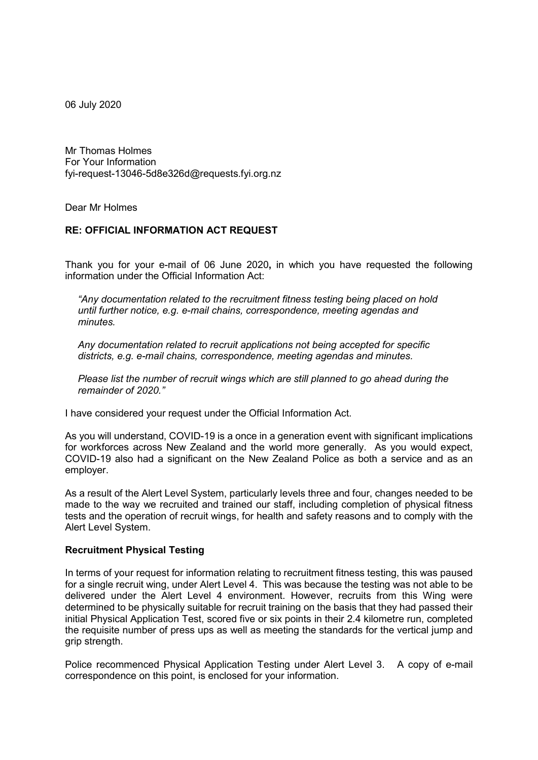06 July 2020

Mr Thomas Holmes For Your Information fyi-request-13046-5d8e326d@requests.fyi.org.nz

Dear Mr Holmes

### **RE: OFFICIAL INFORMATION ACT REQUEST**

Thank you for your e-mail of 06 June 2020**,** in which you have requested the following information under the Official Information Act:

*"Any documentation related to the recruitment fitness testing being placed on hold until further notice, e.g. e-mail chains, correspondence, meeting agendas and minutes.*

*Any documentation related to recruit applications not being accepted for specific districts, e.g. e-mail chains, correspondence, meeting agendas and minutes.*

*Please list the number of recruit wings which are still planned to go ahead during the remainder of 2020."*

I have considered your request under the Official Information Act.

As you will understand, COVID-19 is a once in a generation event with significant implications for workforces across New Zealand and the world more generally. As you would expect, COVID-19 also had a significant on the New Zealand Police as both a service and as an employer.

As a result of the Alert Level System, particularly levels three and four, changes needed to be made to the way we recruited and trained our staff, including completion of physical fitness tests and the operation of recruit wings, for health and safety reasons and to comply with the Alert Level System.

#### **Recruitment Physical Testing**

In terms of your request for information relating to recruitment fitness testing, this was paused for a single recruit wing, under Alert Level 4. This was because the testing was not able to be delivered under the Alert Level 4 environment. However, recruits from this Wing were determined to be physically suitable for recruit training on the basis that they had passed their initial Physical Application Test, scored five or six points in their 2.4 kilometre run, completed the requisite number of press ups as well as meeting the standards for the vertical jump and grip strength.

Police recommenced Physical Application Testing under Alert Level 3. A copy of e-mail correspondence on this point, is enclosed for your information.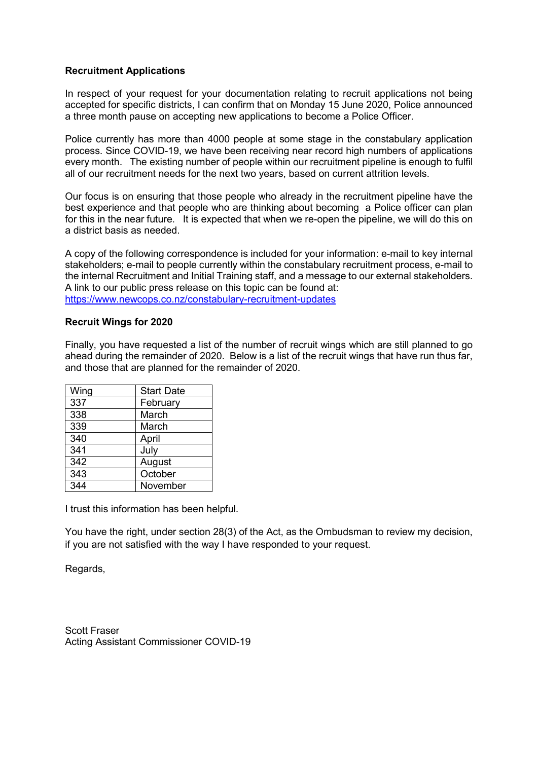# **Recruitment Applications**

In respect of your request for your documentation relating to recruit applications not being accepted for specific districts, I can confirm that on Monday 15 June 2020, Police announced a three month pause on accepting new applications to become a Police Officer.

Police currently has more than 4000 people at some stage in the constabulary application process. Since COVID-19, we have been receiving near record high numbers of applications every month. The existing number of people within our recruitment pipeline is enough to fulfil all of our recruitment needs for the next two years, based on current attrition levels.

Our focus is on ensuring that those people who already in the recruitment pipeline have the best experience and that people who are thinking about becoming a Police officer can plan for this in the near future. It is expected that when we re-open the pipeline, we will do this on a district basis as needed.

A copy of the following correspondence is included for your information: e-mail to key internal stakeholders; e-mail to people currently within the constabulary recruitment process, e-mail to the internal Recruitment and Initial Training staff, and a message to our external stakeholders. A link to our public press release on this topic can be found at: <https://www.newcops.co.nz/constabulary-recruitment-updates>

### **Recruit Wings for 2020**

Finally, you have requested a list of the number of recruit wings which are still planned to go ahead during the remainder of 2020. Below is a list of the recruit wings that have run thus far, and those that are planned for the remainder of 2020.

| Wing | <b>Start Date</b> |  |
|------|-------------------|--|
| 337  | February          |  |
| 338  | March             |  |
| 339  | March             |  |
| 340  | April             |  |
| 341  | July              |  |
| 342  | August            |  |
| 343  | October           |  |
| 344  | November          |  |

I trust this information has been helpful.

You have the right, under section 28(3) of the Act, as the Ombudsman to review my decision, if you are not satisfied with the way I have responded to your request.

Regards,

Scott Fraser Acting Assistant Commissioner COVID-19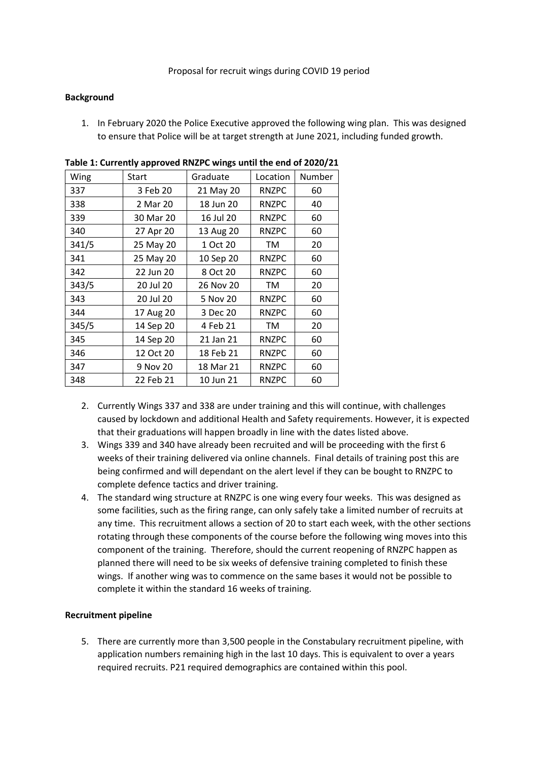### **Background**

1. In February 2020 the Police Executive approved the following wing plan. This was designed to ensure that Police will be at target strength at June 2021, including funded growth.

| Wing  | Start     | Graduate  | Location     | Number |
|-------|-----------|-----------|--------------|--------|
| 337   | 3 Feb 20  | 21 May 20 | <b>RNZPC</b> | 60     |
| 338   | 2 Mar 20  | 18 Jun 20 | <b>RNZPC</b> | 40     |
| 339   | 30 Mar 20 | 16 Jul 20 | <b>RNZPC</b> | 60     |
| 340   | 27 Apr 20 | 13 Aug 20 | <b>RNZPC</b> | 60     |
| 341/5 | 25 May 20 | 1 Oct 20  | TM           | 20     |
| 341   | 25 May 20 | 10 Sep 20 | <b>RNZPC</b> | 60     |
| 342   | 22 Jun 20 | 8 Oct 20  | <b>RNZPC</b> | 60     |
| 343/5 | 20 Jul 20 | 26 Nov 20 | TM           | 20     |
| 343   | 20 Jul 20 | 5 Nov 20  | <b>RNZPC</b> | 60     |
| 344   | 17 Aug 20 | 3 Dec 20  | <b>RNZPC</b> | 60     |
| 345/5 | 14 Sep 20 | 4 Feb 21  | TM           | 20     |
| 345   | 14 Sep 20 | 21 Jan 21 | <b>RNZPC</b> | 60     |
| 346   | 12 Oct 20 | 18 Feb 21 | <b>RNZPC</b> | 60     |
| 347   | 9 Nov 20  | 18 Mar 21 | <b>RNZPC</b> | 60     |
| 348   | 22 Feb 21 | 10 Jun 21 | <b>RNZPC</b> | 60     |

**Table 1: Currently approved RNZPC wings until the end of 2020/21**

- 2. Currently Wings 337 and 338 are under training and this will continue, with challenges caused by lockdown and additional Health and Safety requirements. However, it is expected that their graduations will happen broadly in line with the dates listed above.
- 3. Wings 339 and 340 have already been recruited and will be proceeding with the first 6 weeks of their training delivered via online channels. Final details of training post this are being confirmed and will dependant on the alert level if they can be bought to RNZPC to complete defence tactics and driver training.
- 4. The standard wing structure at RNZPC is one wing every four weeks. This was designed as some facilities, such as the firing range, can only safely take a limited number of recruits at any time. This recruitment allows a section of 20 to start each week, with the other sections rotating through these components of the course before the following wing moves into this component of the training. Therefore, should the current reopening of RNZPC happen as planned there will need to be six weeks of defensive training completed to finish these wings. If another wing was to commence on the same bases it would not be possible to complete it within the standard 16 weeks of training.

# **Recruitment pipeline**

5. There are currently more than 3,500 people in the Constabulary recruitment pipeline, with application numbers remaining high in the last 10 days. This is equivalent to over a years required recruits. P21 required demographics are contained within this pool.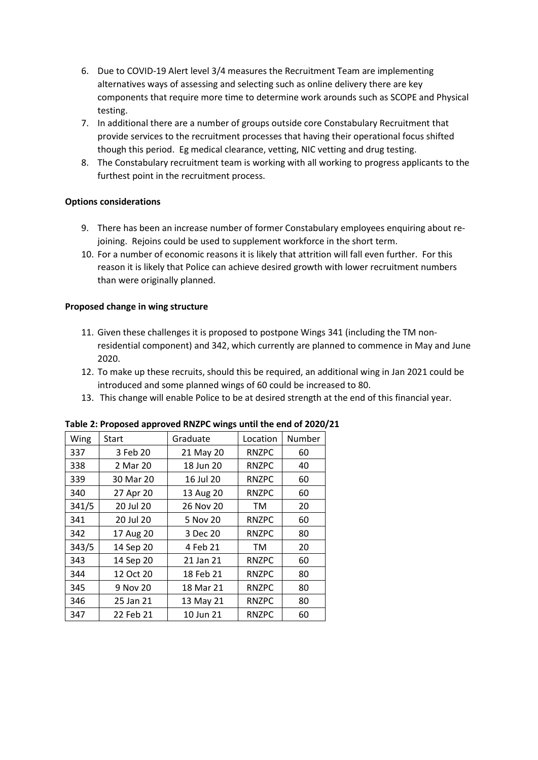- 6. Due to COVID-19 Alert level 3/4 measures the Recruitment Team are implementing alternatives ways of assessing and selecting such as online delivery there are key components that require more time to determine work arounds such as SCOPE and Physical testing.
- 7. In additional there are a number of groups outside core Constabulary Recruitment that provide services to the recruitment processes that having their operational focus shifted though this period. Eg medical clearance, vetting, NIC vetting and drug testing.
- 8. The Constabulary recruitment team is working with all working to progress applicants to the furthest point in the recruitment process.

# **Options considerations**

- 9. There has been an increase number of former Constabulary employees enquiring about rejoining. Rejoins could be used to supplement workforce in the short term.
- 10. For a number of economic reasons it is likely that attrition will fall even further. For this reason it is likely that Police can achieve desired growth with lower recruitment numbers than were originally planned.

# **Proposed change in wing structure**

- 11. Given these challenges it is proposed to postpone Wings 341 (including the TM nonresidential component) and 342, which currently are planned to commence in May and June 2020.
- 12. To make up these recruits, should this be required, an additional wing in Jan 2021 could be introduced and some planned wings of 60 could be increased to 80.
- 13. This change will enable Police to be at desired strength at the end of this financial year.

| Wing  | <b>Start</b> | Graduate  | Location     | Number |
|-------|--------------|-----------|--------------|--------|
| 337   | 3 Feb 20     | 21 May 20 | <b>RNZPC</b> | 60     |
| 338   | 2 Mar 20     | 18 Jun 20 | <b>RNZPC</b> | 40     |
| 339   | 30 Mar 20    | 16 Jul 20 | <b>RNZPC</b> | 60     |
| 340   | 27 Apr 20    | 13 Aug 20 | <b>RNZPC</b> | 60     |
| 341/5 | 20 Jul 20    | 26 Nov 20 | ТM           | 20     |
| 341   | 20 Jul 20    | 5 Nov 20  | <b>RNZPC</b> | 60     |
| 342   | 17 Aug 20    | 3 Dec 20  | <b>RNZPC</b> | 80     |
| 343/5 | 14 Sep 20    | 4 Feb 21  | ТM           | 20     |
| 343   | 14 Sep 20    | 21 Jan 21 | <b>RNZPC</b> | 60     |
| 344   | 12 Oct 20    | 18 Feb 21 | <b>RNZPC</b> | 80     |
| 345   | 9 Nov 20     | 18 Mar 21 | <b>RNZPC</b> | 80     |
| 346   | 25 Jan 21    | 13 May 21 | <b>RNZPC</b> | 80     |
| 347   | 22 Feb 21    | 10 Jun 21 | <b>RNZPC</b> | 60     |

**Table 2: Proposed approved RNZPC wings until the end of 2020/21**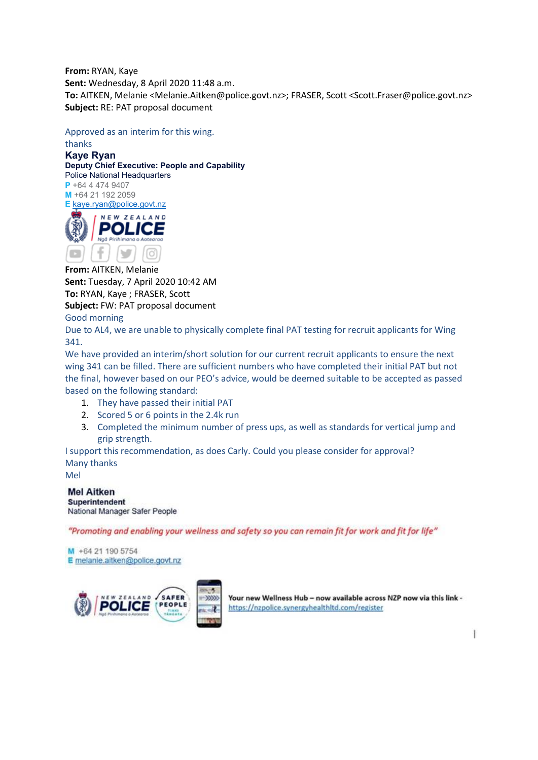**From:** RYAN, Kaye **Sent:** Wednesday, 8 April 2020 11:48 a.m. **To:** AITKEN, Melanie <Melanie.Aitken@police.govt.nz>; FRASER, Scott <Scott.Fraser@police.govt.nz> **Subject:** RE: PAT proposal document

Approved as an interim for this wing. thanks

**Kaye Ryan** 

**Deputy Chief Executive: People and Capability** Police National Headquarters

**P** +64 4 474 9407 **M** +64 21 192 2059 **E** [kaye.ryan@police.govt.nz](mailto:xxxx.xxxx@xxxxxx.xxxx.xx)



**From:** AITKEN, Melanie **Sent:** Tuesday, 7 April 2020 10:42 AM **To:** RYAN, Kaye ; FRASER, Scott **Subject:** FW: PAT proposal document

Good morning

Due to AL4, we are unable to physically complete final PAT testing for recruit applicants for Wing 341.

We have provided an interim/short solution for our current recruit applicants to ensure the next wing 341 can be filled. There are sufficient numbers who have completed their initial PAT but not the final, however based on our PEO's advice, would be deemed suitable to be accepted as passed based on the following standard:

- 1. They have passed their initial PAT
- 2. Scored 5 or 6 points in the 2.4k run
- 3. Completed the minimum number of press ups, as well as standards for vertical jump and grip strength.

I support this recommendation, as does Carly. Could you please consider for approval? Many thanks

Mel

**Mel Aitken** Superintendent National Manager Safer People

"Promoting and enabling your wellness and safety so you can remain fit for work and fit for life"

M +64 21 190 5754 E melanie.aitken@police.govt.nz



Your new Wellness Hub - now available across NZP now via this link https://nzpolice.synergyhealthltd.com/register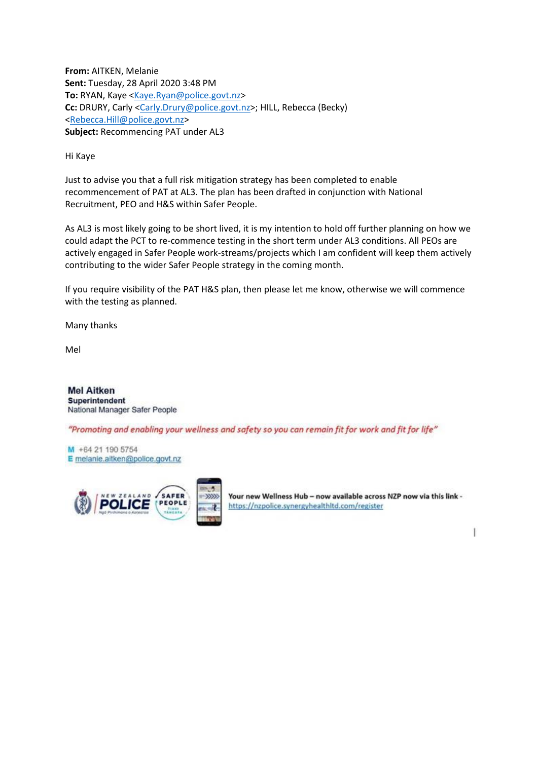**From:** AITKEN, Melanie **Sent:** Tuesday, 28 April 2020 3:48 PM **To:** RYAN, Kaye [<Kaye.Ryan@police.govt.nz>](mailto:xxxx.xxxx@xxxxxx.xxxx.xx) **Cc:** DRURY, Carly [<Carly.Drury@police.govt.nz>](mailto:xxxxx.xxxxx@xxxxxx.xxxx.xx); HILL, Rebecca (Becky) [<Rebecca.Hill@police.govt.nz>](mailto:xxxxxxx.xxxx@xxxxxx.xxxx.xx) **Subject:** Recommencing PAT under AL3

Hi Kaye

Just to advise you that a full risk mitigation strategy has been completed to enable recommencement of PAT at AL3. The plan has been drafted in conjunction with National Recruitment, PEO and H&S within Safer People.

As AL3 is most likely going to be short lived, it is my intention to hold off further planning on how we could adapt the PCT to re-commence testing in the short term under AL3 conditions. All PEOs are actively engaged in Safer People work-streams/projects which I am confident will keep them actively contributing to the wider Safer People strategy in the coming month.

If you require visibility of the PAT H&S plan, then please let me know, otherwise we will commence with the testing as planned.

Many thanks

Mel

**Mel Aitken Superintendent** National Manager Safer People

"Promoting and enabling your wellness and safety so you can remain fit for work and fit for life"

M +64 21 190 5754 E melanie.aitken@police.govt.nz



Your new Wellness Hub - now available across NZP now via this link https://nzpolice.synergyhealthitd.com/register

ŀ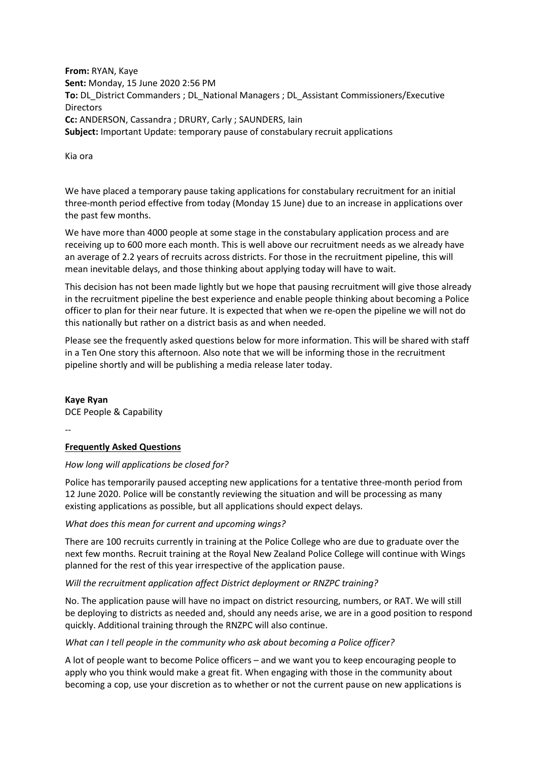**From:** RYAN, Kaye **Sent:** Monday, 15 June 2020 2:56 PM **To:** DL\_District Commanders ; DL\_National Managers ; DL\_Assistant Commissioners/Executive Directors **Cc:** ANDERSON, Cassandra ; DRURY, Carly ; SAUNDERS, Iain **Subject:** Important Update: temporary pause of constabulary recruit applications

Kia ora

We have placed a temporary pause taking applications for constabulary recruitment for an initial three-month period effective from today (Monday 15 June) due to an increase in applications over the past few months.

We have more than 4000 people at some stage in the constabulary application process and are receiving up to 600 more each month. This is well above our recruitment needs as we already have an average of 2.2 years of recruits across districts. For those in the recruitment pipeline, this will mean inevitable delays, and those thinking about applying today will have to wait.

This decision has not been made lightly but we hope that pausing recruitment will give those already in the recruitment pipeline the best experience and enable people thinking about becoming a Police officer to plan for their near future. It is expected that when we re-open the pipeline we will not do this nationally but rather on a district basis as and when needed.

Please see the frequently asked questions below for more information. This will be shared with staff in a Ten One story this afternoon. Also note that we will be informing those in the recruitment pipeline shortly and will be publishing a media release later today.

**Kaye Ryan** DCE People & Capability

--

# **Frequently Asked Questions**

# *How long will applications be closed for?*

Police has temporarily paused accepting new applications for a tentative three-month period from 12 June 2020. Police will be constantly reviewing the situation and will be processing as many existing applications as possible, but all applications should expect delays.

# *What does this mean for current and upcoming wings?*

There are 100 recruits currently in training at the Police College who are due to graduate over the next few months. Recruit training at the Royal New Zealand Police College will continue with Wings planned for the rest of this year irrespective of the application pause.

# *Will the recruitment application affect District deployment or RNZPC training?*

No. The application pause will have no impact on district resourcing, numbers, or RAT. We will still be deploying to districts as needed and, should any needs arise, we are in a good position to respond quickly. Additional training through the RNZPC will also continue.

#### *What can I tell people in the community who ask about becoming a Police officer?*

A lot of people want to become Police officers – and we want you to keep encouraging people to apply who you think would make a great fit. When engaging with those in the community about becoming a cop, use your discretion as to whether or not the current pause on new applications is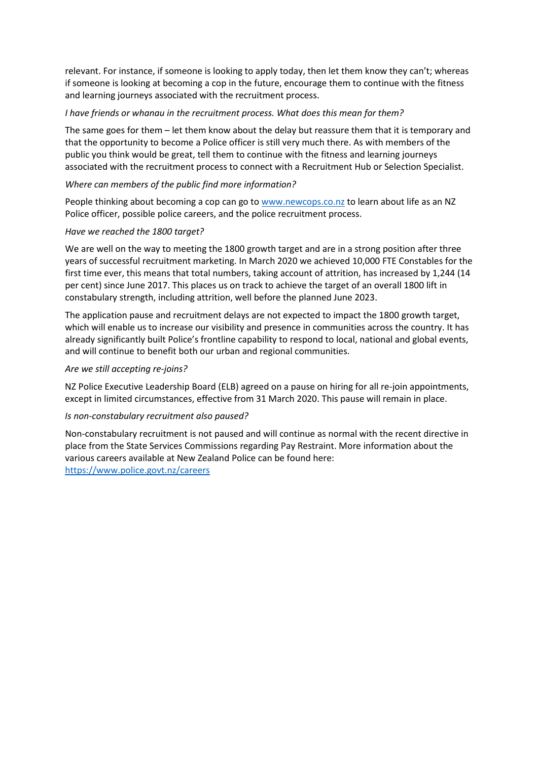relevant. For instance, if someone is looking to apply today, then let them know they can't; whereas if someone is looking at becoming a cop in the future, encourage them to continue with the fitness and learning journeys associated with the recruitment process.

#### *I have friends or whanau in the recruitment process. What does this mean for them?*

The same goes for them – let them know about the delay but reassure them that it is temporary and that the opportunity to become a Police officer is still very much there. As with members of the public you think would be great, tell them to continue with the fitness and learning journeys associated with the recruitment process to connect with a Recruitment Hub or Selection Specialist.

### *Where can members of the public find more information?*

People thinking about becoming a cop can go to [www.newcops.co.nz](http://www.newcops.co.nz/) to learn about life as an NZ Police officer, possible police careers, and the police recruitment process.

### *Have we reached the 1800 target?*

We are well on the way to meeting the 1800 growth target and are in a strong position after three years of successful recruitment marketing. In March 2020 we achieved 10,000 FTE Constables for the first time ever, this means that total numbers, taking account of attrition, has increased by 1,244 (14 per cent) since June 2017. This places us on track to achieve the target of an overall 1800 lift in constabulary strength, including attrition, well before the planned June 2023.

The application pause and recruitment delays are not expected to impact the 1800 growth target, which will enable us to increase our visibility and presence in communities across the country. It has already significantly built Police's frontline capability to respond to local, national and global events, and will continue to benefit both our urban and regional communities.

### *Are we still accepting re-joins?*

NZ Police Executive Leadership Board (ELB) agreed on a pause on hiring for all re-join appointments, except in limited circumstances, effective from 31 March 2020. This pause will remain in place.

#### *Is non-constabulary recruitment also paused?*

Non-constabulary recruitment is not paused and will continue as normal with the recent directive in place from the State Services Commissions regarding Pay Restraint. More information about the various careers available at New Zealand Police can be found here: <https://www.police.govt.nz/careers>